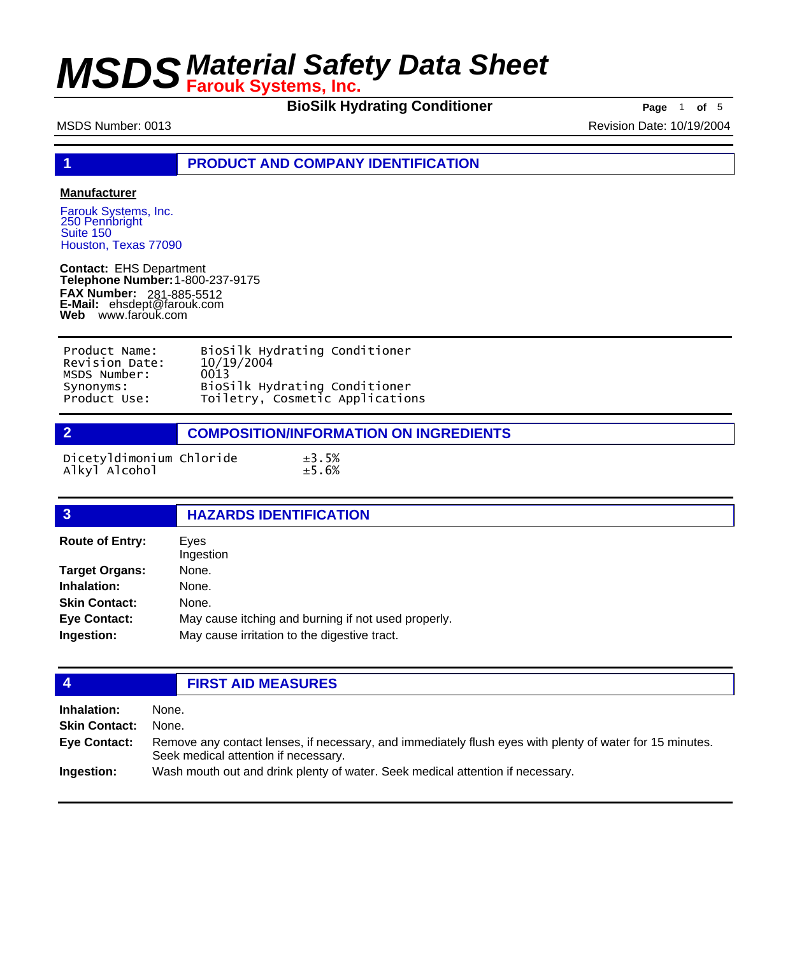**BioSilk Hydrating Conditioner Page** 1 of 5

MSDS Number: 0013 Revision Date: 10/19/2004

**1 PRODUCT AND COMPANY IDENTIFICATION**

### **Manufacturer**

Farouk Systems, Inc. 250 Pennbright Suite 150 Houston, Texas 77090

**Contact:** EHS Department **Telephone Number:** 1-800-237-9175 **FAX Number: FAX Number:** 281-885-5512<br>**E-Mail:** ehsdept@farouk.com **Web** www.farouk.com

| Product Name:  | BioSilk Hydrating Conditioner   |
|----------------|---------------------------------|
| Revision Date: | 10/19/2004                      |
| MSDS Number:   | 0013                            |
| Synonyms:      | BioSilk Hydrating Conditioner   |
| Product Use:   | Toiletry, Cosmetic Applications |

**2 COMPOSITION/INFORMATION ON INGREDIENTS**

Dicetyldimonium Chloride  $\pm 3.5\%$ <br>Alkyl Alcohol  $\pm 5.6\%$ Alkyl Alcohol

| <b>HAZARDS IDENTIFICATION</b>                       |
|-----------------------------------------------------|
| Eyes<br>Ingestion                                   |
| None.                                               |
| None.                                               |
| None.                                               |
| May cause itching and burning if not used properly. |
| May cause irritation to the digestive tract.        |
|                                                     |

## **4 FIRST AID MEASURES**

| Inhalation:          | None.                                                                                                                                            |
|----------------------|--------------------------------------------------------------------------------------------------------------------------------------------------|
| <b>Skin Contact:</b> | None.                                                                                                                                            |
| <b>Eye Contact:</b>  | Remove any contact lenses, if necessary, and immediately flush eyes with plenty of water for 15 minutes.<br>Seek medical attention if necessary. |
| Ingestion:           | Wash mouth out and drink plenty of water. Seek medical attention if necessary.                                                                   |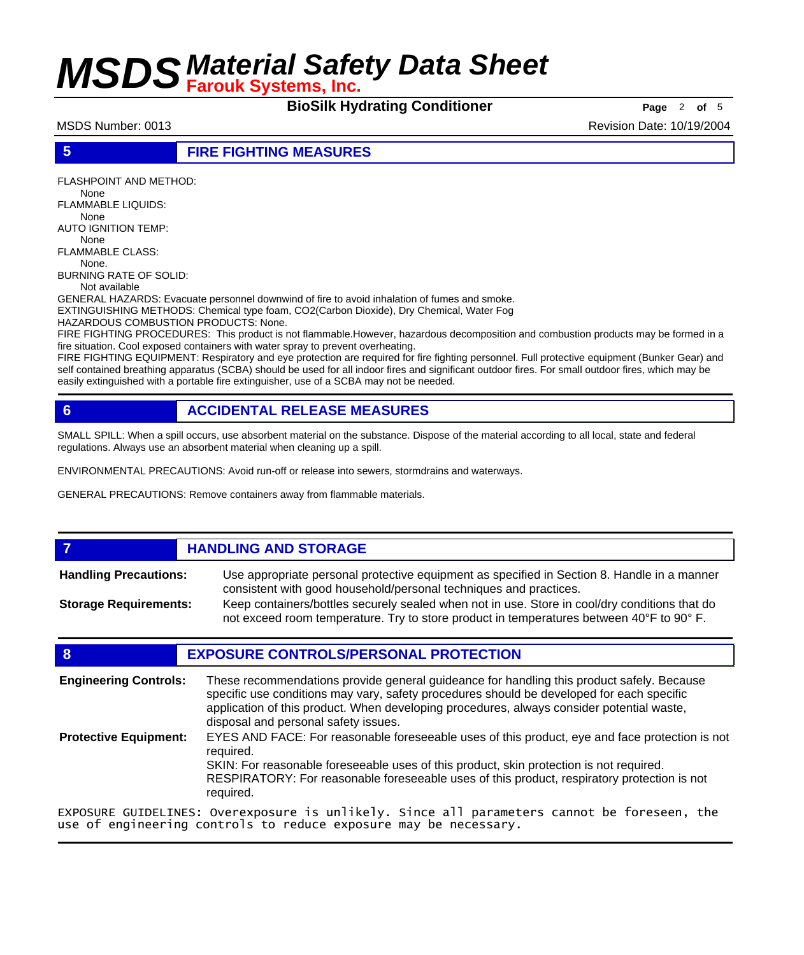**BioSilk Hydrating Conditioner** Page 2 of 5

MSDS Number: 0013 **Revision Date: 10/19/2004** Revision Date: 10/19/2004

### **5 FIRE FIGHTING MEASURES**

FLASHPOINT AND METHOD: None

FLAMMABLE LIQUIDS: None

AUTO IGNITION TEMP:

 None FLAMMABLE CLASS:

None.

BURNING RATE OF SOLID:

Not available

GENERAL HAZARDS: Evacuate personnel downwind of fire to avoid inhalation of fumes and smoke.

EXTINGUISHING METHODS: Chemical type foam, CO2(Carbon Dioxide), Dry Chemical, Water Fog

HAZARDOUS COMBUSTION PRODUCTS: None.

FIRE FIGHTING PROCEDURES: This product is not flammable.However, hazardous decomposition and combustion products may be formed in a fire situation. Cool exposed containers with water spray to prevent overheating.

FIRE FIGHTING EQUIPMENT: Respiratory and eye protection are required for fire fighting personnel. Full protective equipment (Bunker Gear) and self contained breathing apparatus (SCBA) should be used for all indoor fires and significant outdoor fires. For small outdoor fires, which may be easily extinguished with a portable fire extinguisher, use of a SCBA may not be needed.

# **6 ACCIDENTAL RELEASE MEASURES**

SMALL SPILL: When a spill occurs, use absorbent material on the substance. Dispose of the material according to all local, state and federal regulations. Always use an absorbent material when cleaning up a spill.

ENVIRONMENTAL PRECAUTIONS: Avoid run-off or release into sewers, stormdrains and waterways.

GENERAL PRECAUTIONS: Remove containers away from flammable materials.

## *HANDLING AND STORAGE*

Use appropriate personal protective equipment as specified in Section 8. Handle in a manner consistent with good household/personal techniques and practices. **Handling Precautions:** Keep containers/bottles securely sealed when not in use. Store in cool/dry conditions that do **Storage Requirements:**

not exceed room temperature. Try to store product in temperatures between 40°F to 90° F.

## **8 EXPOSURE CONTROLS/PERSONAL PROTECTION**

These recommendations provide general guideance for handling this product safely. Because specific use conditions may vary, safety procedures should be developed for each specific application of this product. When developing procedures, always consider potential waste, disposal and personal safety issues. **Engineering Controls:** EYES AND FACE: For reasonable foreseeable uses of this product, eye and face protection is not required. SKIN: For reasonable foreseeable uses of this product, skin protection is not required. RESPIRATORY: For reasonable foreseeable uses of this product, respiratory protection is not required. **Protective Equipment:**

EXPOSURE GUIDELINES: Overexposure is unlikely. Since all parameters cannot be foreseen, the use of engineering controls to reduce exposure may be necessary.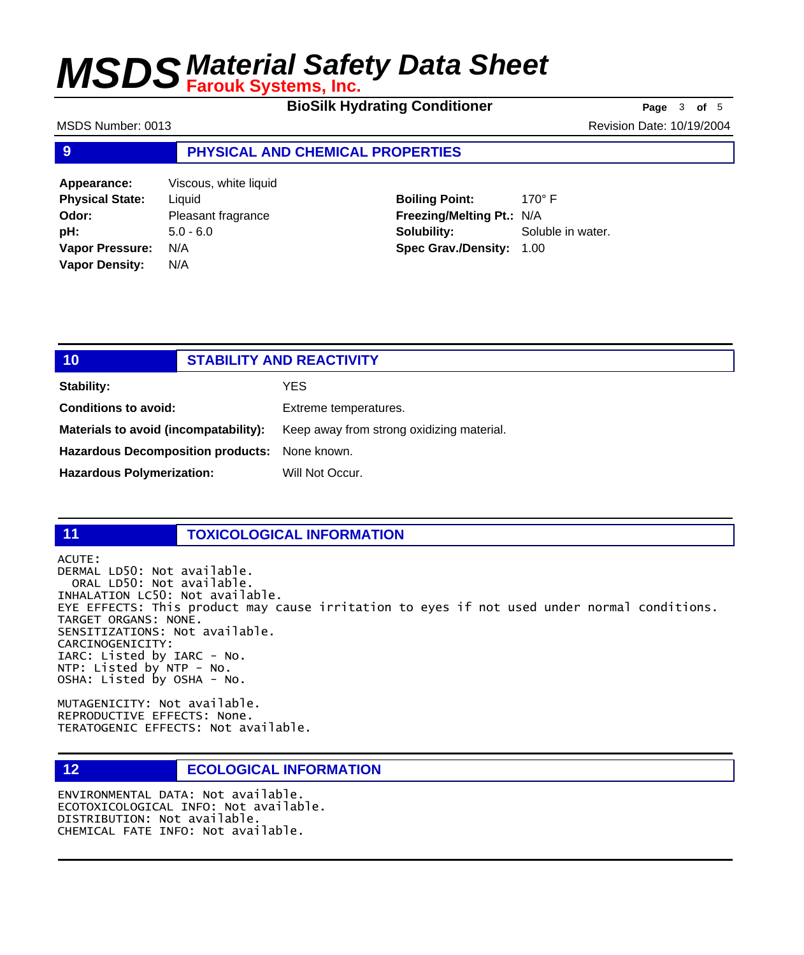**BioSilk Hydrating Conditioner Page** 3 of 5

MSDS Number: 0013 **Revision Date: 10/19/2004** Revision Date: 10/19/2004

### **9 PHYSICAL AND CHEMICAL PROPERTIES**

**Appearance:** Viscous, white liquid **Physical State:** Liquid **Odor:** Pleasant fragrance **pH:** 5.0 - 6.0 **Vapor Pressure:** N/A **Vapor Density:** N/A

**Boiling Point:** 170° F **Freezing/Melting Pt.:** N/A **Solubility:** Soluble in water. **Spec Grav./Density:** 1.00

| 101                                           | <b>STABILITY AND REACTIVITY</b> |                                           |
|-----------------------------------------------|---------------------------------|-------------------------------------------|
| Stability:                                    |                                 | YES                                       |
| <b>Conditions to avoid:</b>                   |                                 | Extreme temperatures.                     |
| Materials to avoid (incompatability):         |                                 | Keep away from strong oxidizing material. |
| Hazardous Decomposition products: None known. |                                 |                                           |
| <b>Hazardous Polymerization:</b>              |                                 | Will Not Occur.                           |

## **11 TOXICOLOGICAL INFORMATION**

ACUTE: DERMAL LD50: Not available. ORAL LD50: Not available. INHALATION LC50: Not available. EYE EFFECTS: This product may cause irritation to eyes if not used under normal conditions. TARGET ORGANS: NONE. SENSITIZATIONS: Not available. CARCINOGENICITY: IARC: Listed by IARC - No. NTP: Listed by NTP - No. OSHA: Listed by OSHA - No.

MUTAGENICITY: Not available. REPRODUCTIVE EFFECTS: None. TERATOGENIC EFFECTS: Not available.

## **12 ECOLOGICAL INFORMATION**

ENVIRONMENTAL DATA: Not available. ECOTOXICOLOGICAL INFO: Not available. DISTRIBUTION: Not available. CHEMICAL FATE INFO: Not available.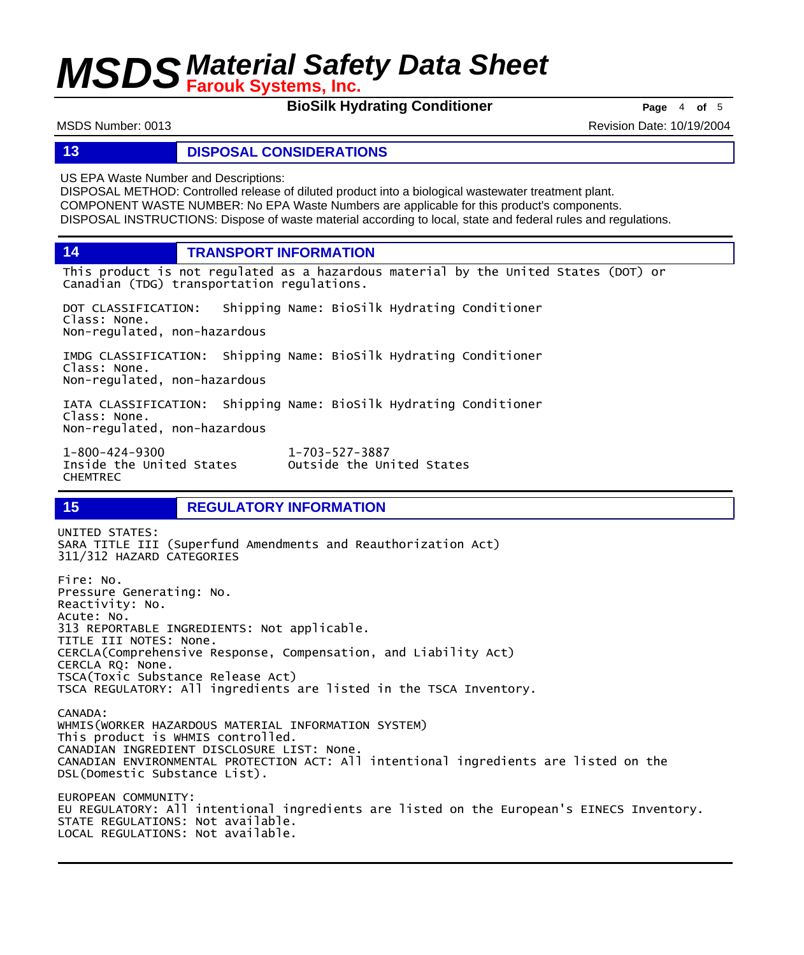**BioSilk Hydrating Conditioner Page** 4 of 5

MSDS Number: 0013 **Revision Date: 10/19/2004** Revision Date: 10/19/2004

### **13 DISPOSAL CONSIDERATIONS**

US EPA Waste Number and Descriptions:

DISPOSAL METHOD: Controlled release of diluted product into a biological wastewater treatment plant. COMPONENT WASTE NUMBER: No EPA Waste Numbers are applicable for this product's components. DISPOSAL INSTRUCTIONS: Dispose of waste material according to local, state and federal rules and regulations.

**14 TRANSPORT INFORMATION**

This product is not regulated as a hazardous material by the United States (DOT) or Canadian (TDG) transportation regulations.

DOT CLASSIFICATION: Shipping Name: BioSilk Hydrating Conditioner Class: None. Non-regulated, non-hazardous

IMDG CLASSIFICATION: Shipping Name: BioSilk Hydrating Conditioner Class: None. Non-regulated, non-hazardous

IATA CLASSIFICATION: Shipping Name: BioSilk Hydrating Conditioner Class: None. Non-regulated, non-hazardous

1-800-424-9300 1-703-527-3887 CHEMTREC

Outside the United States

## **15 REGULATORY INFORMATION**

UNITED STATES: SARA TITLE III (Superfund Amendments and Reauthorization Act) 311/312 HAZARD CATEGORIES Fire: No. Pressure Generating: No. Reactivity: No. Acute: No. 313 REPORTABLE INGREDIENTS: Not applicable. TITLE III NOTES: None. CERCLA(Comprehensive Response, Compensation, and Liability Act) CERCLA RQ: None. TSCA(Toxic Substance Release Act) TSCA REGULATORY: All ingredients are listed in the TSCA Inventory. CANADA: WHMIS(WORKER HAZARDOUS MATERIAL INFORMATION SYSTEM) This product is WHMIS controlled. CANADIAN INGREDIENT DISCLOSURE LIST: None. CANADIAN ENVIRONMENTAL PROTECTION ACT: All intentional ingredients are listed on the DSL(Domestic Substance List). EUROPEAN COMMUNITY: EU REGULATORY: All intentional ingredients are listed on the European's EINECS Inventory. STATE REGULATIONS: Not available. LOCAL REGULATIONS: Not available.